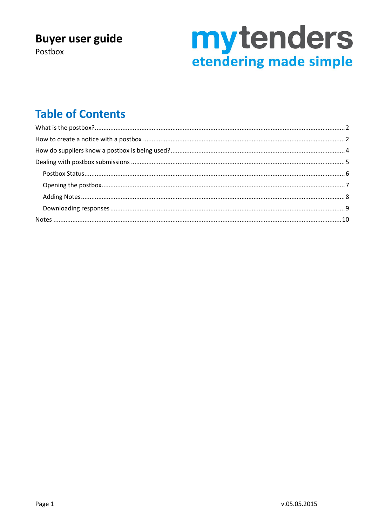### **Buyer user guide**

Postbox

# **mytenders**<br>etendering made simple

### **Table of Contents**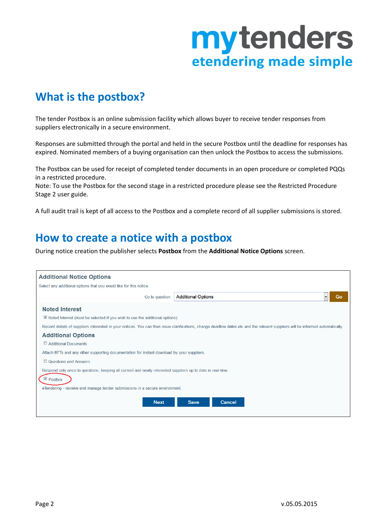### <span id="page-1-0"></span>**What is the postbox?**

The tender Postbox is an online submission facility which allows buyer to receive tender responses from suppliers electronically in a secure environment.

Responses are submitted through the portal and held in the secure Postbox until the deadline for responses has expired. Nominated members of a buying organisation can then unlock the Postbox to access the submissions.

The Postbox can be used for receipt of completed tender documents in an open procedure or completed PQQs in a restricted procedure.

Note: To use the Postbox for the second stage in a restricted procedure please see the Restricted Procedure Stage 2 user guide.

A full audit trail is kept of all access to the Postbox and a complete record of all supplier submissions is stored.

#### <span id="page-1-1"></span>**How to create a notice with a postbox**

During notice creation the publisher selects **Postbox** from the **Additional Notice Options** screen.

| <b>Additional Notice Options</b>                                                                            |                                                                                                                                                                                 |    |
|-------------------------------------------------------------------------------------------------------------|---------------------------------------------------------------------------------------------------------------------------------------------------------------------------------|----|
| Select any additional options that you would like for this notice.                                          |                                                                                                                                                                                 |    |
| Go to question:                                                                                             | <b>Additional Options</b>                                                                                                                                                       | Go |
| <b>Noted Interest</b>                                                                                       |                                                                                                                                                                                 |    |
| ■ Noted Interest (must be selected if you wish to use the additional options)                               |                                                                                                                                                                                 |    |
|                                                                                                             | Record details of suppliers interested in your notices. You can then issue clarifications, change deadline dates etc and the relevant suppliers will be informed automatically. |    |
| <b>Additional Options</b>                                                                                   |                                                                                                                                                                                 |    |
| Additional Documents                                                                                        |                                                                                                                                                                                 |    |
| Attach RFTs and any other supporting documentation for instant download by your suppliers.                  |                                                                                                                                                                                 |    |
| Questions and Answers                                                                                       |                                                                                                                                                                                 |    |
| Respond only once to questions, keeping all current and newly interested suppliers up to date in real-time. |                                                                                                                                                                                 |    |
| $\sqrt{\ }$ Postbox                                                                                         |                                                                                                                                                                                 |    |
| eTendering - receive and manage tender submissions in a secure environment.                                 |                                                                                                                                                                                 |    |
| <b>Next</b>                                                                                                 | <b>Save</b><br>Cancel                                                                                                                                                           |    |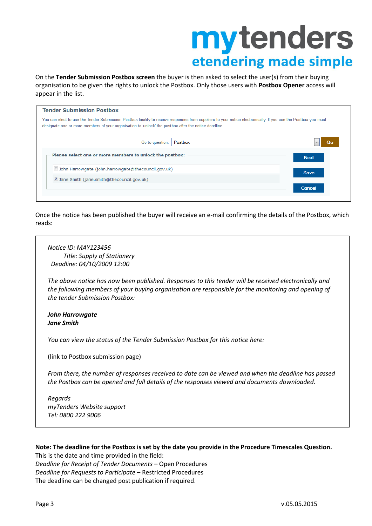On the **Tender Submission Postbox screen** the buyer is then asked to select the user(s) from their buying organisation to be given the rights to unlock the Postbox. Only those users with **Postbox Opener** access will appear in the list.

| <b>Tender Submission Postbox</b>                                                                                                                                                                                                                                        |             |
|-------------------------------------------------------------------------------------------------------------------------------------------------------------------------------------------------------------------------------------------------------------------------|-------------|
| You can elect to use the Tender Submission Postbox facility to receive responses from suppliers to your notice electronically. If you use the Postbox you must<br>designate one or more members of your organisation to 'unlock' the postbox after the notice deadline. |             |
| Postbox<br>Go to question:                                                                                                                                                                                                                                              | Go<br>▼     |
| Please select one or more members to unlock the postbox:                                                                                                                                                                                                                | <b>Next</b> |
| John Harrowgate (john.harrowgate@thecouncil.gov.uk)                                                                                                                                                                                                                     | <b>Save</b> |
| Jane Smith (jane.smith@thecouncil.gov.uk)                                                                                                                                                                                                                               |             |
|                                                                                                                                                                                                                                                                         | Cancel      |
|                                                                                                                                                                                                                                                                         |             |

Once the notice has been published the buyer will receive an e-mail confirming the details of the Postbox, which reads:

*Notice ID: MAY123456 Title: Supply of Stationery Deadline: 04/10/2009 12:00*

*The above notice has now been published. Responses to this tender will be received electronically and the following members of your buying organisation are responsible for the monitoring and opening of the tender Submission Postbox:*

#### *John Harrowgate Jane Smith*

*You can view the status of the Tender Submission Postbox for this notice here:*

(link to Postbox submission page)

*From there, the number of responses received to date can be viewed and when the deadline has passed the Postbox can be opened and full details of the responses viewed and documents downloaded.*

*Regards myTenders Website support Tel: 0800 222 9006*

#### **Note: The deadline for the Postbox is set by the date you provide in the Procedure Timescales Question.**

This is the date and time provided in the field: *Deadline for Receipt of Tender Documents* – Open Procedures *Deadline for Requests to Participate* – Restricted Procedures The deadline can be changed post publication if required.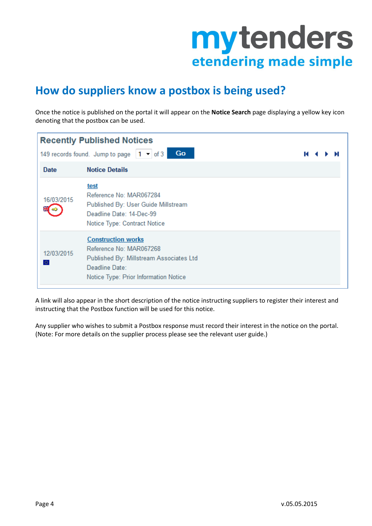

### <span id="page-3-0"></span>**How do suppliers know a postbox is being used?**

Once the notice is published on the portal it will appear on the **Notice Search** page displaying a yellow key icon denoting that the postbox can be used.

| <b>Recently Published Notices</b> |                                                                                                                                                            |   |  |  |  |  |
|-----------------------------------|------------------------------------------------------------------------------------------------------------------------------------------------------------|---|--|--|--|--|
|                                   | 149 records found. Jump to page $\vert 1 - \vert$ of 3<br>Go                                                                                               | м |  |  |  |  |
| Date                              | <b>Notice Details</b>                                                                                                                                      |   |  |  |  |  |
| 16/03/2015                        | <u>test</u><br>Reference No: MAR067284<br>Published By: User Guide Millstream<br>Deadline Date: 14-Dec-99<br>Notice Type: Contract Notice                  |   |  |  |  |  |
| 12/03/2015<br>办                   | <b>Construction works</b><br>Reference No: MAR067268<br>Published By: Millstream Associates Ltd<br>Deadline Date:<br>Notice Type: Prior Information Notice |   |  |  |  |  |

A link will also appear in the short description of the notice instructing suppliers to register their interest and instructing that the Postbox function will be used for this notice.

Any supplier who wishes to submit a Postbox response must record their interest in the notice on the portal. (Note: For more details on the supplier process please see the relevant user guide.)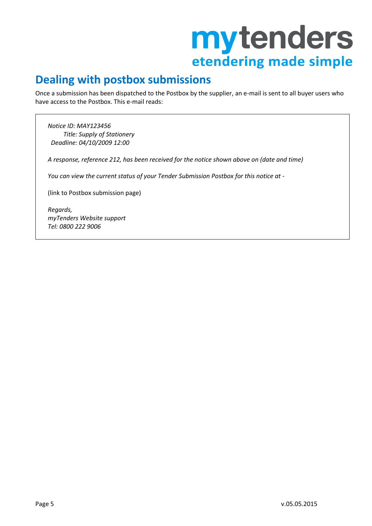### <span id="page-4-0"></span>**Dealing with postbox submissions**

Once a submission has been dispatched to the Postbox by the supplier, an e-mail is sent to all buyer users who have access to the Postbox. This e-mail reads:

*Notice ID: MAY123456 Title: Supply of Stationery Deadline: 04/10/2009 12:00*

*A response, reference 212, has been received for the notice shown above on (date and time)*

*You can view the current status of your Tender Submission Postbox for this notice at -*

(link to Postbox submission page)

*Regards, myTenders Website support Tel: 0800 222 9006*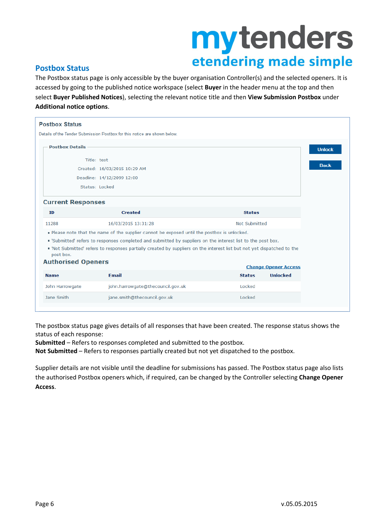#### <span id="page-5-0"></span>**Postbox Status**

The Postbox status page is only accessible by the buyer organisation Controller(s) and the selected openers. It is accessed by going to the published notice workspace (select **Buyer** in the header menu at the top and then select **Buyer Published Notices**), selecting the relevant notice title and then **View Submission Postbox** under **Additional notice options**.

| <b>Postbox Status</b>                  |                                                                                                                                                                                                                                    |               |                             |
|----------------------------------------|------------------------------------------------------------------------------------------------------------------------------------------------------------------------------------------------------------------------------------|---------------|-----------------------------|
|                                        | Details of the Tender Submission Postbox for this notice are shown below.                                                                                                                                                          |               |                             |
| <b>Postbox Details</b>                 | Title: test<br>Created: 16/03/2015 10:29 AM<br>Deadline: 14/12/2099 12:00<br>Status: Locked                                                                                                                                        |               |                             |
| <b>Current Responses</b>               |                                                                                                                                                                                                                                    |               |                             |
| ID                                     | <b>Created</b>                                                                                                                                                                                                                     | <b>Status</b> |                             |
| 11288                                  | 16/03/2015 13:31:28                                                                                                                                                                                                                | Not Submitted |                             |
|                                        | . Please note that the name of the supplier cannot be exposed until the postbox is unlocked.                                                                                                                                       |               |                             |
| post box.<br><b>Authorised Openers</b> | "Submitted' refers to responses completed and submitted by suppliers on the interest list to the post box.<br>Not Submitted' refers to responses partially created by suppliers on the interest list but not yet dispatched to the |               |                             |
|                                        |                                                                                                                                                                                                                                    |               | <b>Change Opener Access</b> |
| <b>Name</b>                            | <b>Email</b>                                                                                                                                                                                                                       | <b>Status</b> | <b>Unlocked</b>             |
| John Harrowgate                        | john.harrowgate@thecouncil.gov.uk                                                                                                                                                                                                  | Locked        |                             |
| Jane Smith                             | jane.smith@thecouncil.gov.uk                                                                                                                                                                                                       | Locked        |                             |

The postbox status page gives details of all responses that have been created. The response status shows the status of each response:

**Submitted** – Refers to responses completed and submitted to the postbox.

**Not Submitted** – Refers to responses partially created but not yet dispatched to the postbox.

Supplier details are not visible until the deadline for submissions has passed. The Postbox status page also lists the authorised Postbox openers which, if required, can be changed by the Controller selecting **Change Opener Access**.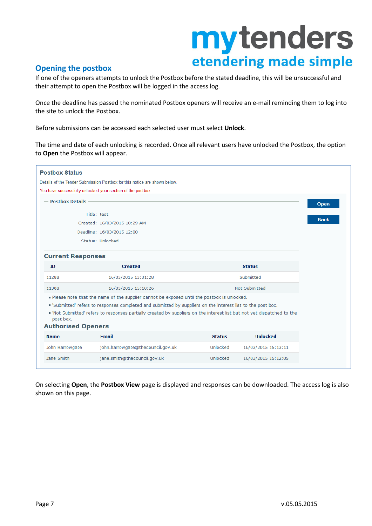#### <span id="page-6-0"></span>**Opening the postbox**

If one of the openers attempts to unlock the Postbox before the stated deadline, this will be unsuccessful and their attempt to open the Postbox will be logged in the access log.

Once the deadline has passed the nominated Postbox openers will receive an e-mail reminding them to log into the site to unlock the Postbox.

Before submissions can be accessed each selected user must select **Unlock**.

The time and date of each unlocking is recorded. Once all relevant users have unlocked the Postbox, the option to **Open** the Postbox will appear.

| <b>Postbox Status</b>                  |                                                                                                                                                                                                                                                                                                                                    |               |                     |
|----------------------------------------|------------------------------------------------------------------------------------------------------------------------------------------------------------------------------------------------------------------------------------------------------------------------------------------------------------------------------------|---------------|---------------------|
|                                        | Details of the Tender Submission Postbox for this notice are shown below.                                                                                                                                                                                                                                                          |               |                     |
|                                        | You have successfully unlocked your section of the postbox.                                                                                                                                                                                                                                                                        |               |                     |
| <b>Postbox Details</b>                 |                                                                                                                                                                                                                                                                                                                                    |               |                     |
|                                        | Title: test                                                                                                                                                                                                                                                                                                                        |               |                     |
|                                        | Created: 16/03/2015 10:29 AM                                                                                                                                                                                                                                                                                                       |               |                     |
|                                        | Deadline: 16/03/2015 12:00                                                                                                                                                                                                                                                                                                         |               |                     |
|                                        | Status: Unlocked                                                                                                                                                                                                                                                                                                                   |               |                     |
| <b>Current Responses</b>               |                                                                                                                                                                                                                                                                                                                                    |               |                     |
| <b>ID</b>                              | <b>Created</b>                                                                                                                                                                                                                                                                                                                     |               | <b>Status</b>       |
| 11288                                  | 16/03/2015 13:31:28                                                                                                                                                                                                                                                                                                                |               | Submitted           |
| 11308                                  | 16/03/2015 15:10:26                                                                                                                                                                                                                                                                                                                |               | Not Submitted       |
| post box.<br><b>Authorised Openers</b> | . Please note that the name of the supplier cannot be exposed until the postbox is unlocked.<br>"Submitted' refers to responses completed and submitted by suppliers on the interest list to the post box.<br>Not Submitted' refers to responses partially created by suppliers on the interest list but not yet dispatched to the |               |                     |
| <b>Name</b>                            | <b>Email</b>                                                                                                                                                                                                                                                                                                                       | <b>Status</b> | <b>Unlocked</b>     |
| John Harrowgate                        | john.harrowgate@thecouncil.gov.uk                                                                                                                                                                                                                                                                                                  | Unlocked      | 16/03/2015 15:13:11 |
| Jane Smith                             | jane.smith@thecouncil.gov.uk                                                                                                                                                                                                                                                                                                       | Unlocked      | 16/03/2015 15:12:05 |

On selecting **Open**, the **Postbox View** page is displayed and responses can be downloaded. The access log is also shown on this page.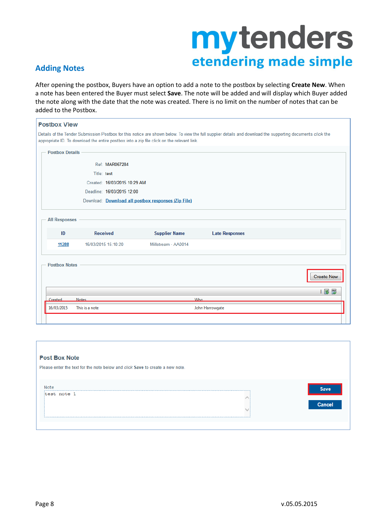#### <span id="page-7-0"></span>**Adding Notes**

After opening the postbox, Buyers have an option to add a note to the postbox by selecting **Create New**. When a note has been entered the Buyer must select **Save**. The note will be added and will display which Buyer added the note along with the date that the note was created. There is no limit on the number of notes that can be added to the Postbox.

| <b>Postbox View</b>    |                 |                              |                                                                                            |                                                                                                                                                             |                   |
|------------------------|-----------------|------------------------------|--------------------------------------------------------------------------------------------|-------------------------------------------------------------------------------------------------------------------------------------------------------------|-------------------|
|                        |                 |                              |                                                                                            | Details of the Tender Submission Postbox for this notice are shown below. To view the full supplier details and download the supporting documents click the |                   |
|                        |                 |                              | appropriate ID. To download the entire postbox into a zip file click on the relevant link. |                                                                                                                                                             |                   |
| <b>Postbox Details</b> |                 |                              |                                                                                            |                                                                                                                                                             |                   |
|                        |                 | Ref: MAR067284               |                                                                                            |                                                                                                                                                             |                   |
|                        | Title: test     |                              |                                                                                            |                                                                                                                                                             |                   |
|                        |                 | Created: 16/03/2015 10:29 AM |                                                                                            |                                                                                                                                                             |                   |
|                        |                 | Deadline: 16/03/2015 12:00   |                                                                                            |                                                                                                                                                             |                   |
|                        |                 |                              | Download: Download all postbox responses (Zip File)                                        |                                                                                                                                                             |                   |
|                        |                 |                              |                                                                                            |                                                                                                                                                             |                   |
| <b>All Responses</b>   |                 |                              |                                                                                            |                                                                                                                                                             |                   |
| ID                     | <b>Received</b> |                              | <b>Supplier Name</b>                                                                       | <b>Late Responses</b>                                                                                                                                       |                   |
| 11288                  |                 | 16/03/2015 15:10:20          | Millstream - AA0014                                                                        |                                                                                                                                                             |                   |
|                        |                 |                              |                                                                                            |                                                                                                                                                             |                   |
| <b>Postbox Notes</b>   |                 |                              |                                                                                            |                                                                                                                                                             |                   |
|                        |                 |                              |                                                                                            |                                                                                                                                                             |                   |
|                        |                 |                              |                                                                                            |                                                                                                                                                             | l 39 ঞ            |
| Created                | <b>Notes</b>    |                              |                                                                                            | <b>Who</b>                                                                                                                                                  | <b>Create New</b> |

| <b>Post Box Note</b><br>Please enter the text for the note below and click Save to create a new note. |                |
|-------------------------------------------------------------------------------------------------------|----------------|
| Note<br>test note 1                                                                                   | Save<br>Cancel |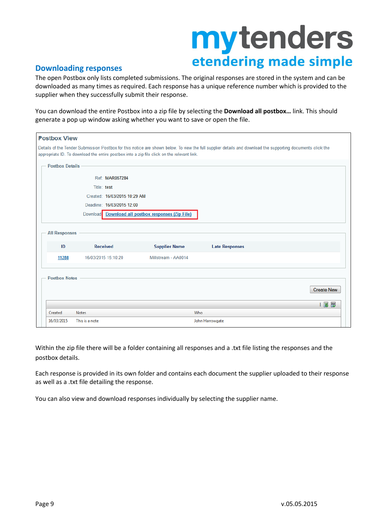#### <span id="page-8-0"></span>**Downloading responses**

The open Postbox only lists completed submissions. The original responses are stored in the system and can be downloaded as many times as required. Each response has a unique reference number which is provided to the supplier when they successfully submit their response.

You can download the entire Postbox into a zip file by selecting the **Download all postbox…** link. This should generate a pop up window asking whether you want to save or open the file.

| <b>Postbox View</b>        |                     |                              |                                                                                            |                                                                                                                                                             |                           |
|----------------------------|---------------------|------------------------------|--------------------------------------------------------------------------------------------|-------------------------------------------------------------------------------------------------------------------------------------------------------------|---------------------------|
|                            |                     |                              | appropriate ID. To download the entire postbox into a zip file click on the relevant link. | Details of the Tender Submission Postbox for this notice are shown below. To view the full supplier details and download the supporting documents click the |                           |
| <b>Postbox Details</b>     |                     |                              |                                                                                            |                                                                                                                                                             |                           |
|                            |                     | Ref: MAR067284               |                                                                                            |                                                                                                                                                             |                           |
|                            | Title: test         |                              |                                                                                            |                                                                                                                                                             |                           |
|                            |                     | Created: 16/03/2015 10:29 AM |                                                                                            |                                                                                                                                                             |                           |
|                            |                     | Deadline: 16/03/2015 12:00   |                                                                                            |                                                                                                                                                             |                           |
|                            |                     |                              | Download Download all postbox responses (Zip File)                                         |                                                                                                                                                             |                           |
| <b>All Responses</b><br>ID | <b>Received</b>     |                              | <b>Supplier Name</b>                                                                       | <b>Late Responses</b>                                                                                                                                       |                           |
| 11288                      | 16/03/2015 15:10:20 |                              | Millstream - AA0014                                                                        |                                                                                                                                                             |                           |
| <b>Postbox Notes</b>       |                     |                              |                                                                                            |                                                                                                                                                             | <b>Create New</b><br>  图图 |
| Created                    | <b>Notes</b>        |                              |                                                                                            | Who                                                                                                                                                         |                           |
| 16/03/2015                 | This is a note      |                              |                                                                                            | John Harrowgate                                                                                                                                             |                           |

Within the zip file there will be a folder containing all responses and a .txt file listing the responses and the postbox details.

Each response is provided in its own folder and contains each document the supplier uploaded to their response as well as a .txt file detailing the response.

You can also view and download responses individually by selecting the supplier name.